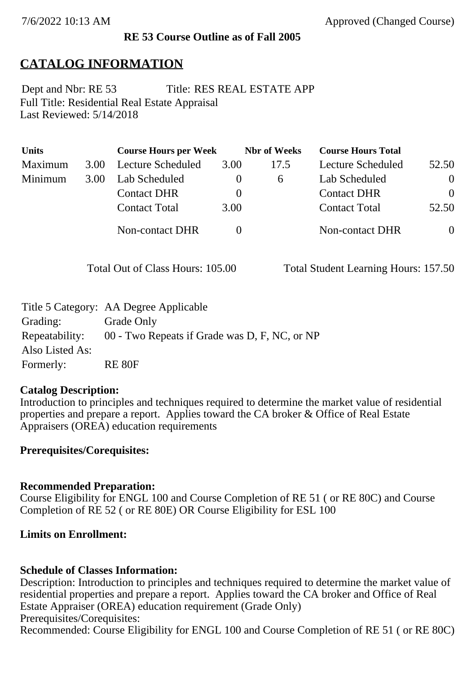### **RE 53 Course Outline as of Fall 2005**

# **CATALOG INFORMATION**

Full Title: Residential Real Estate Appraisal Last Reviewed: 5/14/2018 Dept and Nbr: RE 53 Title: RES REAL ESTATE APP

| <b>Units</b> |      | <b>Course Hours per Week</b> |          | <b>Nbr</b> of Weeks | <b>Course Hours Total</b> |                |
|--------------|------|------------------------------|----------|---------------------|---------------------------|----------------|
| Maximum      | 3.00 | Lecture Scheduled            | 3.00     | 17.5                | Lecture Scheduled         | 52.50          |
| Minimum      | 3.00 | Lab Scheduled                |          | 6                   | Lab Scheduled             | $\overline{0}$ |
|              |      | <b>Contact DHR</b>           | $\theta$ |                     | <b>Contact DHR</b>        | $\Omega$       |
|              |      | <b>Contact Total</b>         | 3.00     |                     | <b>Contact Total</b>      | 52.50          |
|              |      | Non-contact DHR              |          |                     | <b>Non-contact DHR</b>    | $\overline{0}$ |

Total Out of Class Hours: 105.00 Total Student Learning Hours: 157.50

|                 | Title 5 Category: AA Degree Applicable        |
|-----------------|-----------------------------------------------|
| Grading:        | Grade Only                                    |
| Repeatability:  | 00 - Two Repeats if Grade was D, F, NC, or NP |
| Also Listed As: |                                               |
| Formerly:       | <b>RE 80F</b>                                 |

### **Catalog Description:**

Introduction to principles and techniques required to determine the market value of residential properties and prepare a report. Applies toward the CA broker & Office of Real Estate Appraisers (OREA) education requirements

### **Prerequisites/Corequisites:**

### **Recommended Preparation:**

Course Eligibility for ENGL 100 and Course Completion of RE 51 ( or RE 80C) and Course Completion of RE 52 ( or RE 80E) OR Course Eligibility for ESL 100

### **Limits on Enrollment:**

### **Schedule of Classes Information:**

Description: Introduction to principles and techniques required to determine the market value of residential properties and prepare a report. Applies toward the CA broker and Office of Real Estate Appraiser (OREA) education requirement (Grade Only) Prerequisites/Corequisites: Recommended: Course Eligibility for ENGL 100 and Course Completion of RE 51 ( or RE 80C)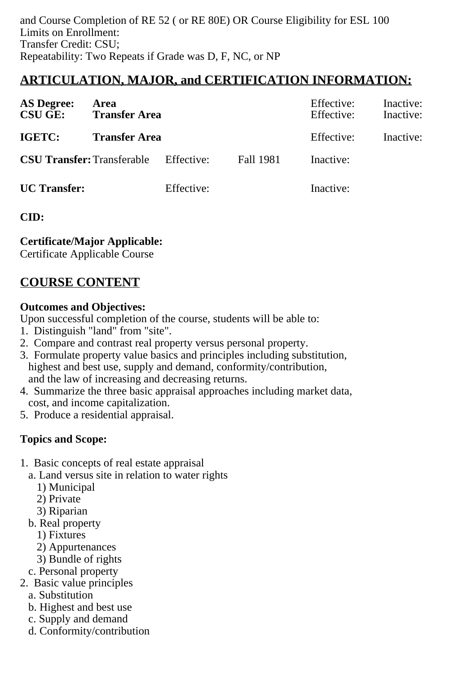# **ARTICULATION, MAJOR, and CERTIFICATION INFORMATION:**

| <b>AS Degree:</b><br><b>CSU GE:</b> | Area<br><b>Transfer Area</b>                 |            |           | Effective:<br>Effective: | Inactive:<br>Inactive: |
|-------------------------------------|----------------------------------------------|------------|-----------|--------------------------|------------------------|
| IGETC:                              | <b>Transfer Area</b>                         |            |           | Effective:               | Inactive:              |
|                                     | <b>CSU Transfer:</b> Transferable Effective: |            | Fall 1981 | Inactive:                |                        |
| <b>UC</b> Transfer:                 |                                              | Effective: |           | Inactive:                |                        |

**CID:**

**Certificate/Major Applicable:** 

[Certificate Applicable Course](SR_ClassCheck.aspx?CourseKey=RE53)

# **COURSE CONTENT**

## **Outcomes and Objectives:**

Upon successful completion of the course, students will be able to:

- 1. Distinguish "land" from "site".
- 2. Compare and contrast real property versus personal property.
- 3. Formulate property value basics and principles including substitution, highest and best use, supply and demand, conformity/contribution, and the law of increasing and decreasing returns.
- 4. Summarize the three basic appraisal approaches including market data, cost, and income capitalization.
- 5. Produce a residential appraisal.

# **Topics and Scope:**

- 1. Basic concepts of real estate appraisal
	- a. Land versus site in relation to water rights
		- 1) Municipal
		- 2) Private
		- 3) Riparian
	- b. Real property
		- 1) Fixtures
		- 2) Appurtenances
		- 3) Bundle of rights
	- c. Personal property
- 2. Basic value principles
	- a. Substitution
	- b. Highest and best use
	- c. Supply and demand
	- d. Conformity/contribution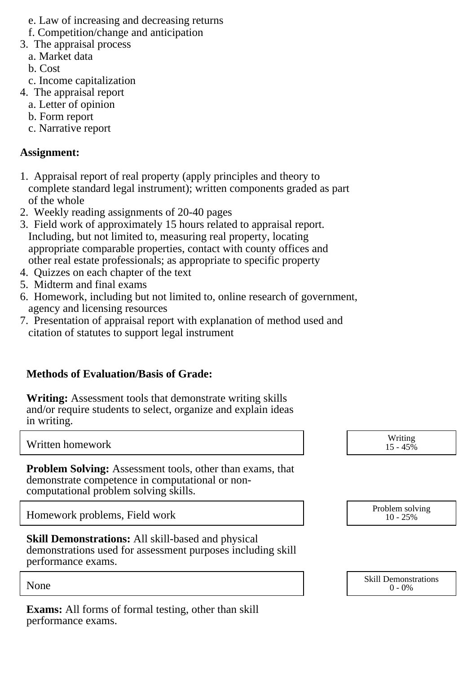- e. Law of increasing and decreasing returns
- f. Competition/change and anticipation
- 3. The appraisal process
	- a. Market data
	- b. Cost
- c. Income capitalization
- 4. The appraisal report
	- a. Letter of opinion
	- b. Form report
	- c. Narrative report

## **Assignment:**

- 1. Appraisal report of real property (apply principles and theory to complete standard legal instrument); written components graded as part of the whole
- 2. Weekly reading assignments of 20-40 pages
- 3. Field work of approximately 15 hours related to appraisal report. Including, but not limited to, measuring real property, locating appropriate comparable properties, contact with county offices and other real estate professionals; as appropriate to specific property
- 4. Quizzes on each chapter of the text
- 5. Midterm and final exams
- 6. Homework, including but not limited to, online research of government, agency and licensing resources
- 7. Presentation of appraisal report with explanation of method used and citation of statutes to support legal instrument

# **Methods of Evaluation/Basis of Grade:**

**Writing:** Assessment tools that demonstrate writing skills and/or require students to select, organize and explain ideas in writing.

Written homework

**Problem Solving:** Assessment tools, other than exams, that demonstrate competence in computational or noncomputational problem solving skills.

Homework problems, Field work

**Skill Demonstrations:** All skill-based and physical demonstrations used for assessment purposes including skill performance exams.

**Exams:** All forms of formal testing, other than skill performance exams.

| Writing<br>$15 - 45%$ |
|-----------------------|
|                       |

| $10 - 25%$ | Problem solving |  |
|------------|-----------------|--|
|------------|-----------------|--|